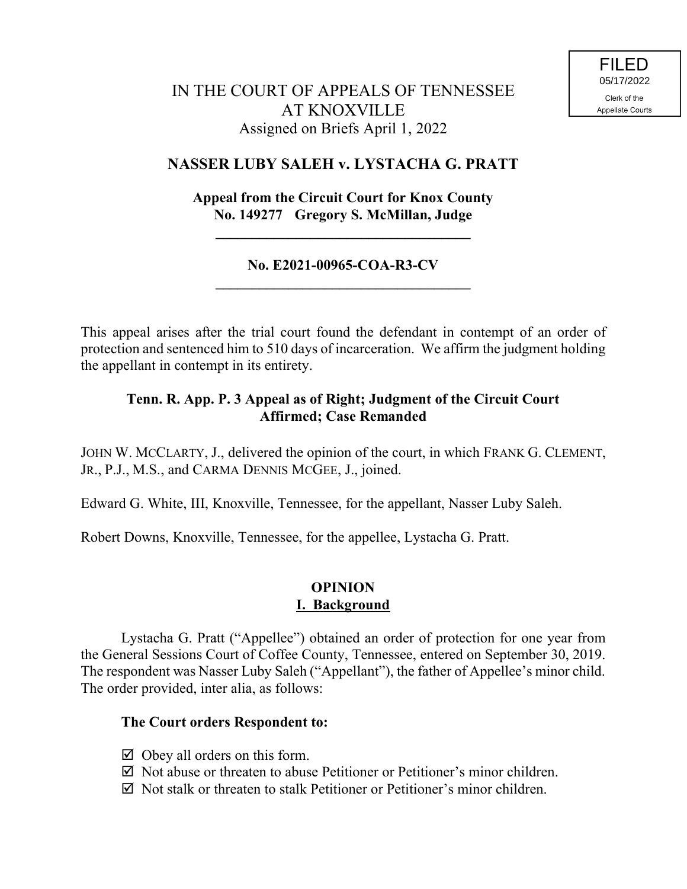# IN THE COURT OF APPEALS OF TENNESSEE AT KNOXVILLE Assigned on Briefs April 1, 2022

## **NASSER LUBY SALEH v. LYSTACHA G. PRATT**

## **Appeal from the Circuit Court for Knox County No. 149277 Gregory S. McMillan, Judge**

**\_\_\_\_\_\_\_\_\_\_\_\_\_\_\_\_\_\_\_\_\_\_\_\_\_\_\_\_\_\_\_\_\_\_\_**

### **No. E2021-00965-COA-R3-CV \_\_\_\_\_\_\_\_\_\_\_\_\_\_\_\_\_\_\_\_\_\_\_\_\_\_\_\_\_\_\_\_\_\_\_**

This appeal arises after the trial court found the defendant in contempt of an order of protection and sentenced him to 510 days of incarceration. We affirm the judgment holding the appellant in contempt in its entirety.

### **Tenn. R. App. P. 3 Appeal as of Right; Judgment of the Circuit Court Affirmed; Case Remanded**

JOHN W. MCCLARTY, J., delivered the opinion of the court, in which FRANK G. CLEMENT, JR., P.J., M.S., and CARMA DENNIS MCGEE, J., joined.

Edward G. White, III, Knoxville, Tennessee, for the appellant, Nasser Luby Saleh.

Robert Downs, Knoxville, Tennessee, for the appellee, Lystacha G. Pratt.

### **OPINION I. Background**

Lystacha G. Pratt ("Appellee") obtained an order of protection for one year from the General Sessions Court of Coffee County, Tennessee, entered on September 30, 2019. The respondent was Nasser Luby Saleh ("Appellant"), the father of Appellee's minor child. The order provided, inter alia, as follows:

#### **The Court orders Respondent to:**

- $\boxtimes$  Obey all orders on this form.
- $\boxtimes$  Not abuse or threaten to abuse Petitioner or Petitioner's minor children.
- $\boxtimes$  Not stalk or threaten to stalk Petitioner or Petitioner's minor children.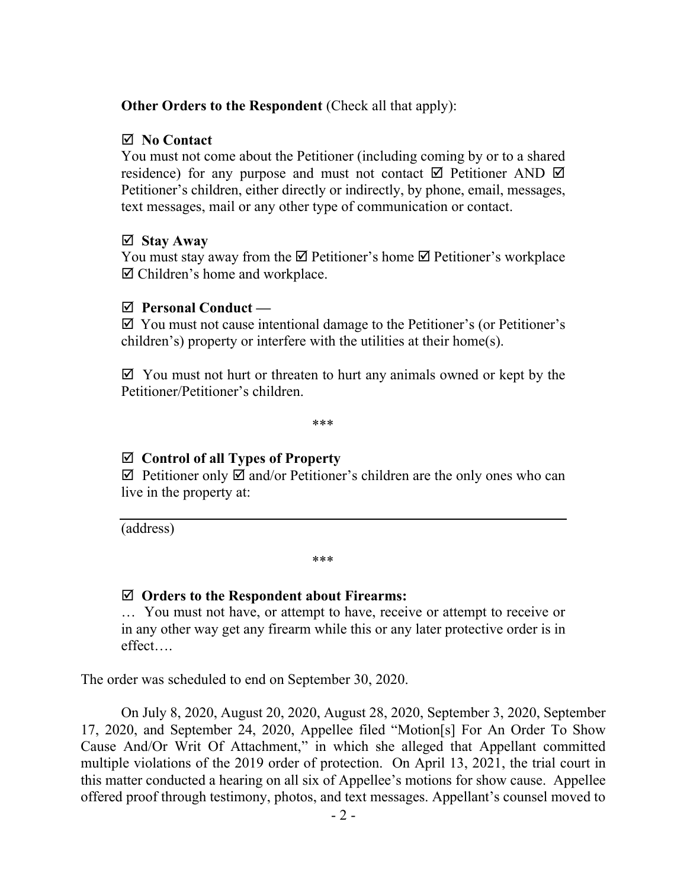### **Other Orders to the Respondent** (Check all that apply):

#### **No Contact**

You must not come about the Petitioner (including coming by or to a shared residence) for any purpose and must not contact  $\boxtimes$  Petitioner AND  $\boxtimes$ Petitioner's children, either directly or indirectly, by phone, email, messages, text messages, mail or any other type of communication or contact.

#### **Stay Away**

You must stay away from the  $\boxtimes$  Petitioner's home  $\boxtimes$  Petitioner's workplace  $\boxtimes$  Children's home and workplace.

#### **Personal Conduct —**

 $\boxtimes$  You must not cause intentional damage to the Petitioner's (or Petitioner's children's) property or interfere with the utilities at their home(s).

 $\boxtimes$  You must not hurt or threaten to hurt any animals owned or kept by the Petitioner/Petitioner's children.

\*\*\*

## **Control of all Types of Property**

 $\boxtimes$  Petitioner only  $\boxtimes$  and/or Petitioner's children are the only ones who can live in the property at:

(address)

\*\*\*

#### **Orders to the Respondent about Firearms:**

… You must not have, or attempt to have, receive or attempt to receive or in any other way get any firearm while this or any later protective order is in effect….

The order was scheduled to end on September 30, 2020.

On July 8, 2020, August 20, 2020, August 28, 2020, September 3, 2020, September 17, 2020, and September 24, 2020, Appellee filed "Motion[s] For An Order To Show Cause And/Or Writ Of Attachment," in which she alleged that Appellant committed multiple violations of the 2019 order of protection. On April 13, 2021, the trial court in this matter conducted a hearing on all six of Appellee's motions for show cause. Appellee offered proof through testimony, photos, and text messages. Appellant's counsel moved to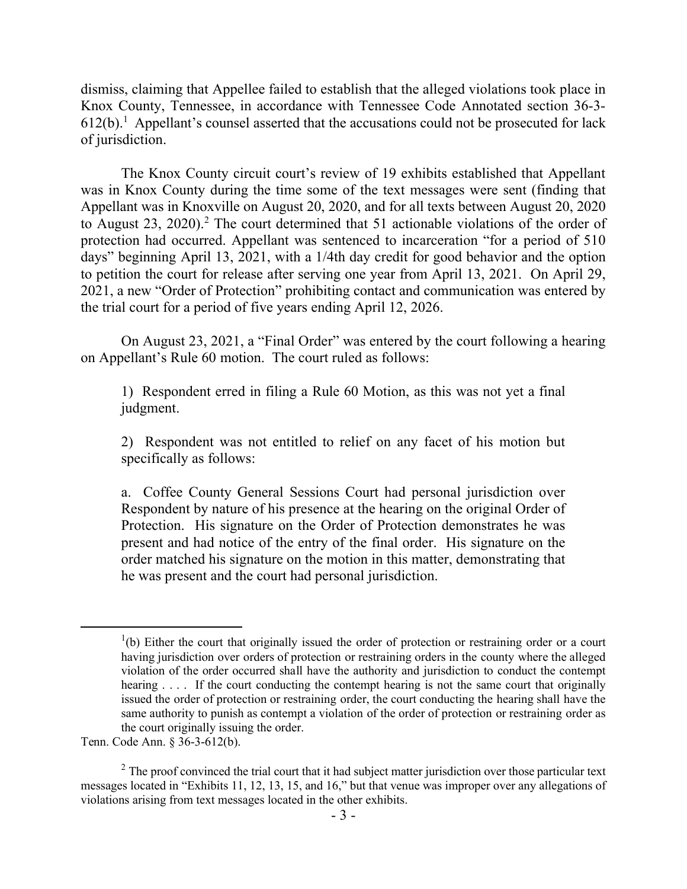dismiss, claiming that Appellee failed to establish that the alleged violations took place in Knox County, Tennessee, in accordance with Tennessee Code Annotated section 36-3-  $612(b)$ .<sup>1</sup> Appellant's counsel asserted that the accusations could not be prosecuted for lack of jurisdiction.

The Knox County circuit court's review of 19 exhibits established that Appellant was in Knox County during the time some of the text messages were sent (finding that Appellant was in Knoxville on August 20, 2020, and for all texts between August 20, 2020 to August 23, 2020). <sup>2</sup> The court determined that 51 actionable violations of the order of protection had occurred. Appellant was sentenced to incarceration "for a period of 510 days" beginning April 13, 2021, with a 1/4th day credit for good behavior and the option to petition the court for release after serving one year from April 13, 2021. On April 29, 2021, a new "Order of Protection" prohibiting contact and communication was entered by the trial court for a period of five years ending April 12, 2026.

On August 23, 2021, a "Final Order" was entered by the court following a hearing on Appellant's Rule 60 motion. The court ruled as follows:

1) Respondent erred in filing a Rule 60 Motion, as this was not yet a final judgment.

2) Respondent was not entitled to relief on any facet of his motion but specifically as follows:

a. Coffee County General Sessions Court had personal jurisdiction over Respondent by nature of his presence at the hearing on the original Order of Protection. His signature on the Order of Protection demonstrates he was present and had notice of the entry of the final order. His signature on the order matched his signature on the motion in this matter, demonstrating that he was present and the court had personal jurisdiction.

Tenn. Code Ann. § 36-3-612(b).

 $\overline{a}$ 

 $(1)(b)$  Either the court that originally issued the order of protection or restraining order or a court having jurisdiction over orders of protection or restraining orders in the county where the alleged violation of the order occurred shall have the authority and jurisdiction to conduct the contempt hearing . . . . If the court conducting the contempt hearing is not the same court that originally issued the order of protection or restraining order, the court conducting the hearing shall have the same authority to punish as contempt a violation of the order of protection or restraining order as the court originally issuing the order.

 $2$  The proof convinced the trial court that it had subject matter jurisdiction over those particular text messages located in "Exhibits 11, 12, 13, 15, and 16," but that venue was improper over any allegations of violations arising from text messages located in the other exhibits.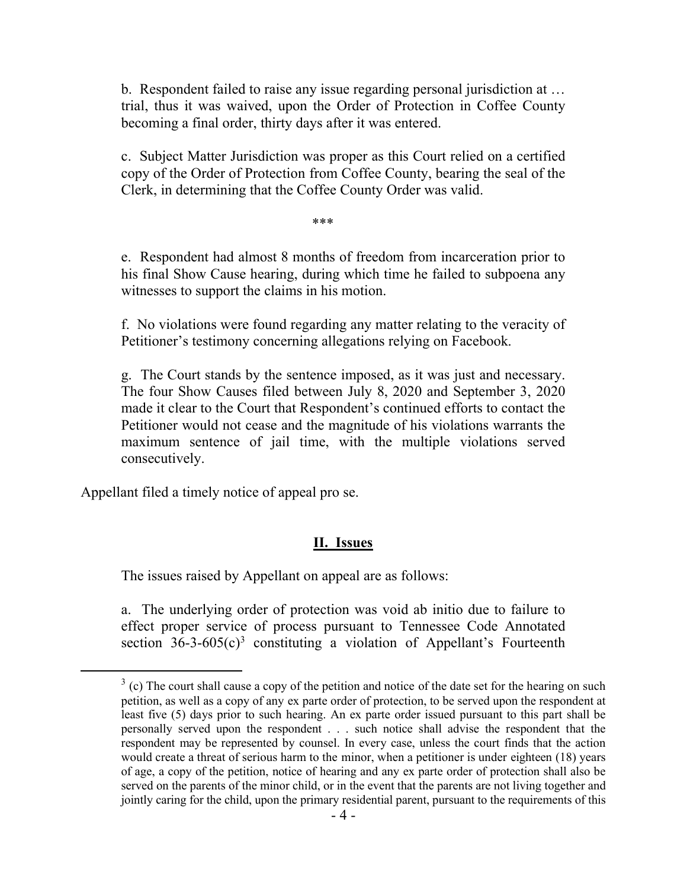b. Respondent failed to raise any issue regarding personal jurisdiction at … trial, thus it was waived, upon the Order of Protection in Coffee County becoming a final order, thirty days after it was entered.

c. Subject Matter Jurisdiction was proper as this Court relied on a certified copy of the Order of Protection from Coffee County, bearing the seal of the Clerk, in determining that the Coffee County Order was valid.

\*\*\*

e. Respondent had almost 8 months of freedom from incarceration prior to his final Show Cause hearing, during which time he failed to subpoena any witnesses to support the claims in his motion.

f. No violations were found regarding any matter relating to the veracity of Petitioner's testimony concerning allegations relying on Facebook.

g. The Court stands by the sentence imposed, as it was just and necessary. The four Show Causes filed between July 8, 2020 and September 3, 2020 made it clear to the Court that Respondent's continued efforts to contact the Petitioner would not cease and the magnitude of his violations warrants the maximum sentence of jail time, with the multiple violations served consecutively.

Appellant filed a timely notice of appeal pro se.

 $\overline{a}$ 

#### **II. Issues**

The issues raised by Appellant on appeal are as follows:

a. The underlying order of protection was void ab initio due to failure to effect proper service of process pursuant to Tennessee Code Annotated section  $36-3-605(c)^3$  constituting a violation of Appellant's Fourteenth

 $3$  (c) The court shall cause a copy of the petition and notice of the date set for the hearing on such petition, as well as a copy of any ex parte order of protection, to be served upon the respondent at least five (5) days prior to such hearing. An ex parte order issued pursuant to this part shall be personally served upon the respondent . . . such notice shall advise the respondent that the respondent may be represented by counsel. In every case, unless the court finds that the action would create a threat of serious harm to the minor, when a petitioner is under eighteen (18) years of age, a copy of the petition, notice of hearing and any ex parte order of protection shall also be served on the parents of the minor child, or in the event that the parents are not living together and jointly caring for the child, upon the primary residential parent, pursuant to the requirements of this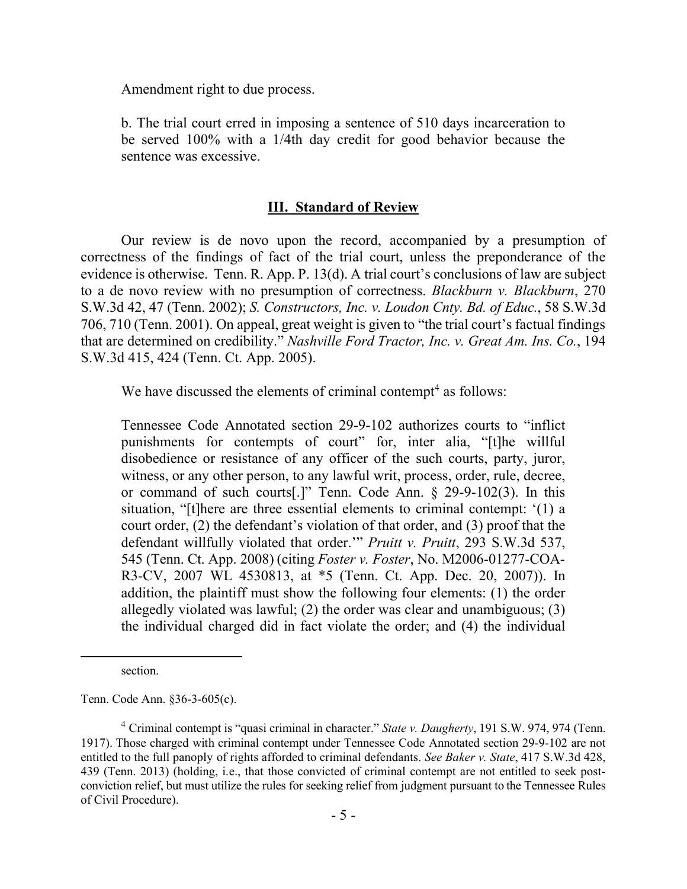Amendment right to due process.

b. The trial court erred in imposing a sentence of 510 days incarceration to be served 100% with a 1/4th day credit for good behavior because the sentence was excessive.

#### **III. Standard of Review**

Our review is de novo upon the record, accompanied by a presumption of correctness of the findings of fact of the trial court, unless the preponderance of the evidence is otherwise. Tenn. R. App. P. 13(d). A trial court's conclusions of law are subject to a de novo review with no presumption of correctness. *Blackburn v. Blackburn*, 270 S.W.3d 42, 47 (Tenn. 2002); *S. Constructors, Inc. v. Loudon Cnty. Bd. of Educ.*, 58 S.W.3d 706, 710 (Tenn. 2001). On appeal, great weight is given to "the trial court's factual findings that are determined on credibility." *Nashville Ford Tractor, Inc. v. Great Am. Ins. Co.*, 194 S.W.3d 415, 424 (Tenn. Ct. App. 2005).

We have discussed the elements of criminal contempt<sup>4</sup> as follows:

Tennessee Code Annotated section 29-9-102 authorizes courts to "inflict punishments for contempts of court" for, inter alia, "[t]he willful disobedience or resistance of any officer of the such courts, party, juror, witness, or any other person, to any lawful writ, process, order, rule, decree, or command of such courts[.]" Tenn. Code Ann. § 29-9-102(3). In this situation, "[t]here are three essential elements to criminal contempt: '(1) a court order, (2) the defendant's violation of that order, and (3) proof that the defendant willfully violated that order.'" *Pruitt v. Pruitt*, 293 S.W.3d 537, 545 (Tenn. Ct. App. 2008) (citing *Foster v. Foster*, No. M2006-01277-COA-R3-CV, 2007 WL 4530813, at \*5 (Tenn. Ct. App. Dec. 20, 2007)). In addition, the plaintiff must show the following four elements: (1) the order allegedly violated was lawful; (2) the order was clear and unambiguous; (3) the individual charged did in fact violate the order; and (4) the individual

 $\overline{a}$ 

Tenn. Code Ann. §36-3-605(c).

section.

<sup>4</sup> Criminal contempt is "quasi criminal in character." *State v. Daugherty*, 191 S.W. 974, 974 (Tenn. 1917). Those charged with criminal contempt under Tennessee Code Annotated section 29-9-102 are not entitled to the full panoply of rights afforded to criminal defendants. *See Baker v. State*, 417 S.W.3d 428, 439 (Tenn. 2013) (holding, i.e., that those convicted of criminal contempt are not entitled to seek postconviction relief, but must utilize the rules for seeking relief from judgment pursuant to the Tennessee Rules of Civil Procedure).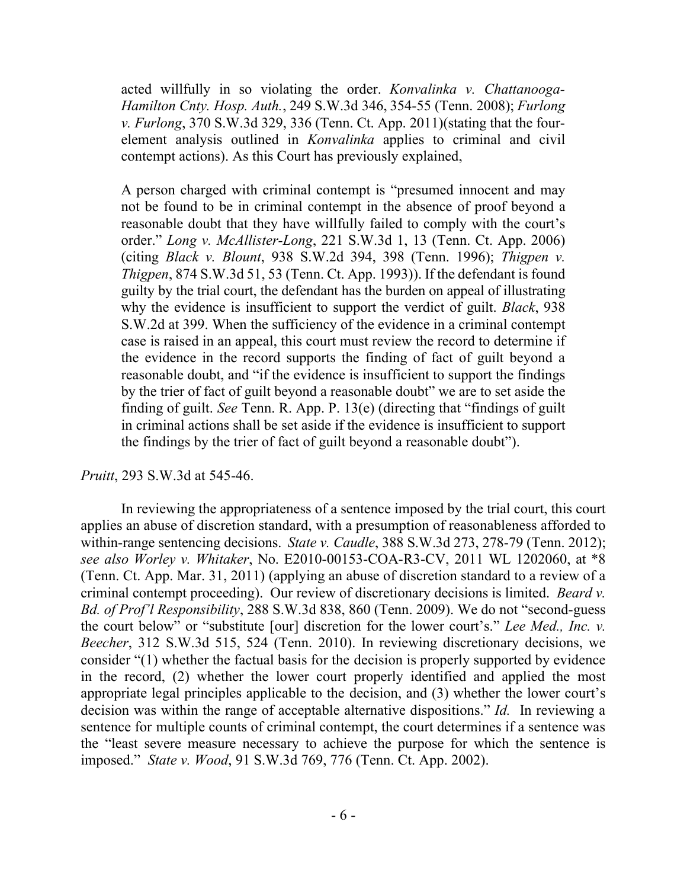acted willfully in so violating the order. *Konvalinka v. Chattanooga-Hamilton Cnty. Hosp. Auth.*, 249 S.W.3d 346, 354-55 (Tenn. 2008); *Furlong v. Furlong*, 370 S.W.3d 329, 336 (Tenn. Ct. App. 2011)(stating that the fourelement analysis outlined in *Konvalinka* applies to criminal and civil contempt actions). As this Court has previously explained,

A person charged with criminal contempt is "presumed innocent and may not be found to be in criminal contempt in the absence of proof beyond a reasonable doubt that they have willfully failed to comply with the court's order." *Long v. McAllister-Long*, 221 S.W.3d 1, 13 (Tenn. Ct. App. 2006) (citing *Black v. Blount*, 938 S.W.2d 394, 398 (Tenn. 1996); *Thigpen v. Thigpen*, 874 S.W.3d 51, 53 (Tenn. Ct. App. 1993)). If the defendant is found guilty by the trial court, the defendant has the burden on appeal of illustrating why the evidence is insufficient to support the verdict of guilt. *Black*, 938 S.W.2d at 399. When the sufficiency of the evidence in a criminal contempt case is raised in an appeal, this court must review the record to determine if the evidence in the record supports the finding of fact of guilt beyond a reasonable doubt, and "if the evidence is insufficient to support the findings by the trier of fact of guilt beyond a reasonable doubt" we are to set aside the finding of guilt. *See* Tenn. R. App. P. 13(e) (directing that "findings of guilt in criminal actions shall be set aside if the evidence is insufficient to support the findings by the trier of fact of guilt beyond a reasonable doubt").

#### *Pruitt*, 293 S.W.3d at 545-46.

In reviewing the appropriateness of a sentence imposed by the trial court, this court applies an abuse of discretion standard, with a presumption of reasonableness afforded to within-range sentencing decisions. *State v. Caudle*, 388 S.W.3d 273, 278-79 (Tenn. 2012); *see also Worley v. Whitaker*, No. E2010-00153-COA-R3-CV, 2011 WL 1202060, at \*8 (Tenn. Ct. App. Mar. 31, 2011) (applying an abuse of discretion standard to a review of a criminal contempt proceeding). Our review of discretionary decisions is limited. *Beard v. Bd. of Prof'l Responsibility*, 288 S.W.3d 838, 860 (Tenn. 2009). We do not "second-guess the court below" or "substitute [our] discretion for the lower court's." *Lee Med., Inc. v. Beecher*, 312 S.W.3d 515, 524 (Tenn. 2010). In reviewing discretionary decisions, we consider "(1) whether the factual basis for the decision is properly supported by evidence in the record, (2) whether the lower court properly identified and applied the most appropriate legal principles applicable to the decision, and (3) whether the lower court's decision was within the range of acceptable alternative dispositions." *Id.* In reviewing a sentence for multiple counts of criminal contempt, the court determines if a sentence was the "least severe measure necessary to achieve the purpose for which the sentence is imposed." *State v. Wood*, 91 S.W.3d 769, 776 (Tenn. Ct. App. 2002).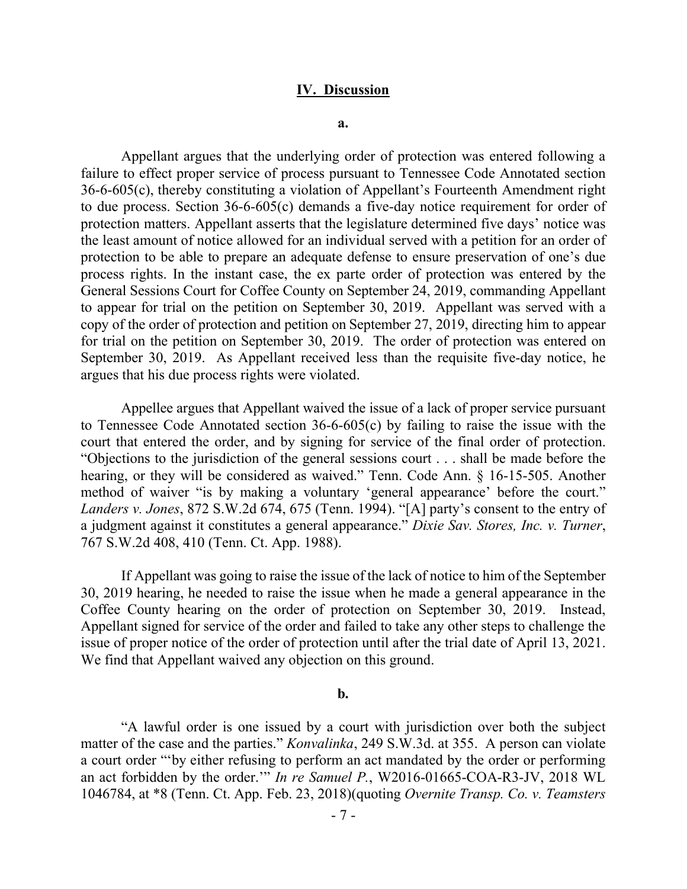#### **IV. Discussion**

**a.**

Appellant argues that the underlying order of protection was entered following a failure to effect proper service of process pursuant to Tennessee Code Annotated section 36-6-605(c), thereby constituting a violation of Appellant's Fourteenth Amendment right to due process. Section 36-6-605(c) demands a five-day notice requirement for order of protection matters. Appellant asserts that the legislature determined five days' notice was the least amount of notice allowed for an individual served with a petition for an order of protection to be able to prepare an adequate defense to ensure preservation of one's due process rights. In the instant case, the ex parte order of protection was entered by the General Sessions Court for Coffee County on September 24, 2019, commanding Appellant to appear for trial on the petition on September 30, 2019. Appellant was served with a copy of the order of protection and petition on September 27, 2019, directing him to appear for trial on the petition on September 30, 2019. The order of protection was entered on September 30, 2019. As Appellant received less than the requisite five-day notice, he argues that his due process rights were violated.

Appellee argues that Appellant waived the issue of a lack of proper service pursuant to Tennessee Code Annotated section 36-6-605(c) by failing to raise the issue with the court that entered the order, and by signing for service of the final order of protection. "Objections to the jurisdiction of the general sessions court . . . shall be made before the hearing, or they will be considered as waived." Tenn. Code Ann. § 16-15-505. Another method of waiver "is by making a voluntary 'general appearance' before the court." *Landers v. Jones*, 872 S.W.2d 674, 675 (Tenn. 1994). "[A] party's consent to the entry of a judgment against it constitutes a general appearance." *Dixie Sav. Stores, Inc. v. Turner*, 767 S.W.2d 408, 410 (Tenn. Ct. App. 1988).

If Appellant was going to raise the issue of the lack of notice to him of the September 30, 2019 hearing, he needed to raise the issue when he made a general appearance in the Coffee County hearing on the order of protection on September 30, 2019. Instead, Appellant signed for service of the order and failed to take any other steps to challenge the issue of proper notice of the order of protection until after the trial date of April 13, 2021. We find that Appellant waived any objection on this ground.

#### **b.**

"A lawful order is one issued by a court with jurisdiction over both the subject matter of the case and the parties." *Konvalinka*, 249 S.W.3d. at 355. A person can violate a court order "'by either refusing to perform an act mandated by the order or performing an act forbidden by the order.'" *In re Samuel P.*, W2016-01665-COA-R3-JV, 2018 WL 1046784, at \*8 (Tenn. Ct. App. Feb. 23, 2018)(quoting *Overnite Transp. Co. v. Teamsters*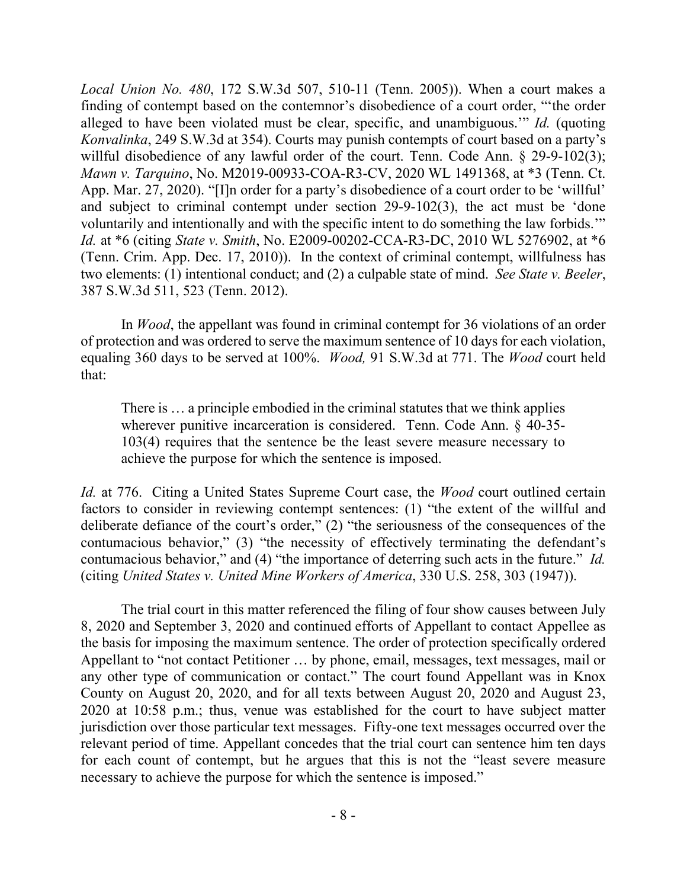*Local Union No. 480*, 172 S.W.3d 507, 510-11 (Tenn. 2005)). When a court makes a finding of contempt based on the contemnor's disobedience of a court order, "'the order alleged to have been violated must be clear, specific, and unambiguous.'" *Id.* (quoting *Konvalinka*, 249 S.W.3d at 354). Courts may punish contempts of court based on a party's willful disobedience of any lawful order of the court. Tenn. Code Ann. § 29-9-102(3); *Mawn v. Tarquino*, No. M2019-00933-COA-R3-CV, 2020 WL 1491368, at \*3 (Tenn. Ct. App. Mar. 27, 2020). "[I]n order for a party's disobedience of a court order to be 'willful' and subject to criminal contempt under section 29-9-102(3), the act must be 'done voluntarily and intentionally and with the specific intent to do something the law forbids.'" *Id.* at \*6 (citing *State v. Smith*, No. E2009-00202-CCA-R3-DC, 2010 WL 5276902, at \*6 (Tenn. Crim. App. Dec. 17, 2010)). In the context of criminal contempt, willfulness has two elements: (1) intentional conduct; and (2) a culpable state of mind. *See State v. Beeler*, 387 S.W.3d 511, 523 (Tenn. 2012).

In *Wood*, the appellant was found in criminal contempt for 36 violations of an order of protection and was ordered to serve the maximum sentence of 10 days for each violation, equaling 360 days to be served at 100%. *Wood,* 91 S.W.3d at 771. The *Wood* court held that:

There is … a principle embodied in the criminal statutes that we think applies wherever punitive incarceration is considered. Tenn. Code Ann. § 40-35- 103(4) requires that the sentence be the least severe measure necessary to achieve the purpose for which the sentence is imposed.

*Id.* at 776. Citing a United States Supreme Court case, the *Wood* court outlined certain factors to consider in reviewing contempt sentences: (1) "the extent of the willful and deliberate defiance of the court's order," (2) "the seriousness of the consequences of the contumacious behavior," (3) "the necessity of effectively terminating the defendant's contumacious behavior," and (4) "the importance of deterring such acts in the future." *Id.* (citing *United States v. United Mine Workers of America*, 330 U.S. 258, 303 (1947)).

The trial court in this matter referenced the filing of four show causes between July 8, 2020 and September 3, 2020 and continued efforts of Appellant to contact Appellee as the basis for imposing the maximum sentence. The order of protection specifically ordered Appellant to "not contact Petitioner … by phone, email, messages, text messages, mail or any other type of communication or contact." The court found Appellant was in Knox County on August 20, 2020, and for all texts between August 20, 2020 and August 23, 2020 at 10:58 p.m.; thus, venue was established for the court to have subject matter jurisdiction over those particular text messages. Fifty-one text messages occurred over the relevant period of time. Appellant concedes that the trial court can sentence him ten days for each count of contempt, but he argues that this is not the "least severe measure necessary to achieve the purpose for which the sentence is imposed."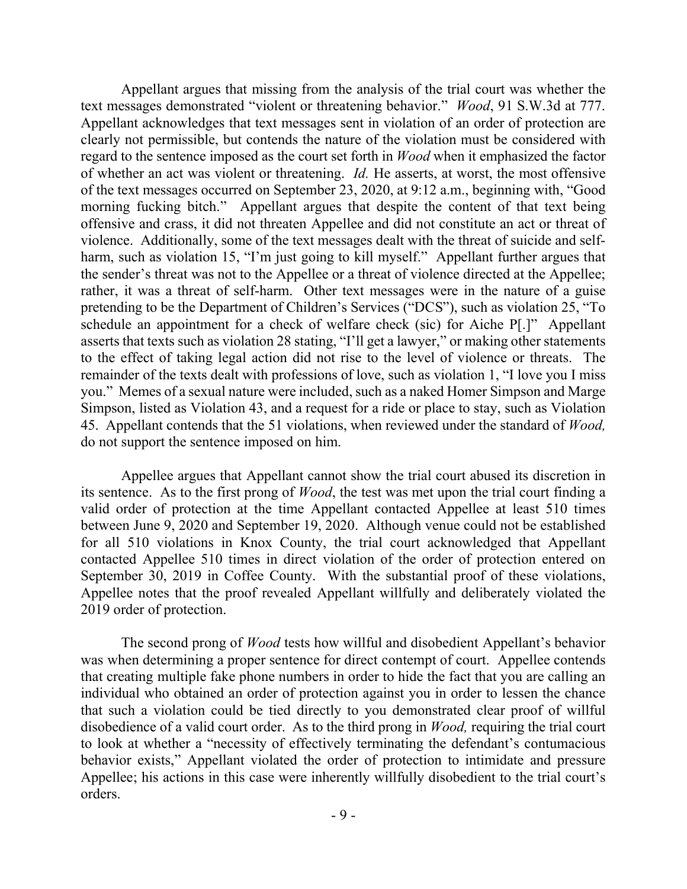Appellant argues that missing from the analysis of the trial court was whether the text messages demonstrated "violent or threatening behavior." *Wood*, 91 S.W.3d at 777. Appellant acknowledges that text messages sent in violation of an order of protection are clearly not permissible, but contends the nature of the violation must be considered with regard to the sentence imposed as the court set forth in *Wood* when it emphasized the factor of whether an act was violent or threatening. *Id.* He asserts, at worst, the most offensive of the text messages occurred on September 23, 2020, at 9:12 a.m., beginning with, "Good morning fucking bitch." Appellant argues that despite the content of that text being offensive and crass, it did not threaten Appellee and did not constitute an act or threat of violence. Additionally, some of the text messages dealt with the threat of suicide and selfharm, such as violation 15, "I'm just going to kill myself." Appellant further argues that the sender's threat was not to the Appellee or a threat of violence directed at the Appellee; rather, it was a threat of self-harm. Other text messages were in the nature of a guise pretending to be the Department of Children's Services ("DCS"), such as violation 25, "To schedule an appointment for a check of welfare check (sic) for Aiche P[.]" Appellant asserts that texts such as violation 28 stating, "I'll get a lawyer," or making other statements to the effect of taking legal action did not rise to the level of violence or threats. The remainder of the texts dealt with professions of love, such as violation 1, "I love you I miss you." Memes of a sexual nature were included, such as a naked Homer Simpson and Marge Simpson, listed as Violation 43, and a request for a ride or place to stay, such as Violation 45. Appellant contends that the 51 violations, when reviewed under the standard of *Wood,* do not support the sentence imposed on him.

Appellee argues that Appellant cannot show the trial court abused its discretion in its sentence. As to the first prong of *Wood*, the test was met upon the trial court finding a valid order of protection at the time Appellant contacted Appellee at least 510 times between June 9, 2020 and September 19, 2020. Although venue could not be established for all 510 violations in Knox County, the trial court acknowledged that Appellant contacted Appellee 510 times in direct violation of the order of protection entered on September 30, 2019 in Coffee County. With the substantial proof of these violations, Appellee notes that the proof revealed Appellant willfully and deliberately violated the 2019 order of protection.

The second prong of *Wood* tests how willful and disobedient Appellant's behavior was when determining a proper sentence for direct contempt of court. Appellee contends that creating multiple fake phone numbers in order to hide the fact that you are calling an individual who obtained an order of protection against you in order to lessen the chance that such a violation could be tied directly to you demonstrated clear proof of willful disobedience of a valid court order. As to the third prong in *Wood,* requiring the trial court to look at whether a "necessity of effectively terminating the defendant's contumacious behavior exists," Appellant violated the order of protection to intimidate and pressure Appellee; his actions in this case were inherently willfully disobedient to the trial court's orders.